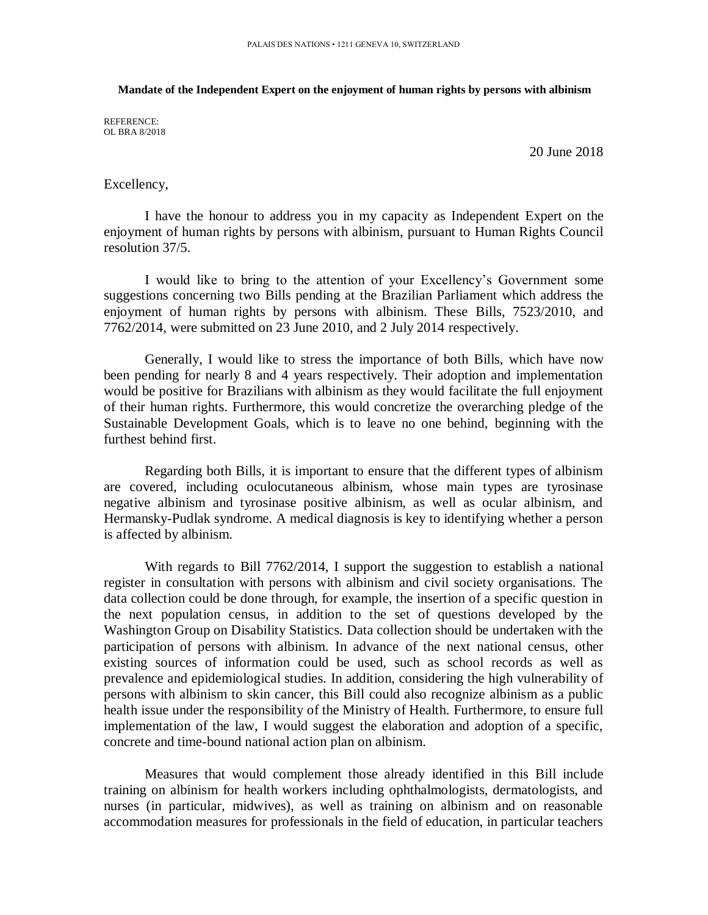## **Mandate of the Independent Expert on the enjoyment of human rights by persons with albinism**

REFERENCE: OL BRA 8/2018

20 June 2018

## Excellency,

I have the honour to address you in my capacity as Independent Expert on the enjoyment of human rights by persons with albinism, pursuant to Human Rights Council resolution 37/5.

I would like to bring to the attention of your Excellency's Government some suggestions concerning two Bills pending at the Brazilian Parliament which address the enjoyment of human rights by persons with albinism. These Bills, 7523/2010, and 7762/2014, were submitted on 23 June 2010, and 2 July 2014 respectively.

Generally, I would like to stress the importance of both Bills, which have now been pending for nearly 8 and 4 years respectively. Their adoption and implementation would be positive for Brazilians with albinism as they would facilitate the full enjoyment of their human rights. Furthermore, this would concretize the overarching pledge of the Sustainable Development Goals, which is to leave no one behind, beginning with the furthest behind first.

Regarding both Bills, it is important to ensure that the different types of albinism are covered, including oculocutaneous albinism, whose main types are tyrosinase negative albinism and tyrosinase positive albinism, as well as ocular albinism, and Hermansky-Pudlak syndrome. A medical diagnosis is key to identifying whether a person is affected by albinism.

With regards to Bill 7762/2014, I support the suggestion to establish a national register in consultation with persons with albinism and civil society organisations. The data collection could be done through, for example, the insertion of a specific question in the next population census, in addition to the set of questions developed by the Washington Group on Disability Statistics. Data collection should be undertaken with the participation of persons with albinism. In advance of the next national census, other existing sources of information could be used, such as school records as well as prevalence and epidemiological studies. In addition, considering the high vulnerability of persons with albinism to skin cancer, this Bill could also recognize albinism as a public health issue under the responsibility of the Ministry of Health. Furthermore, to ensure full implementation of the law, I would suggest the elaboration and adoption of a specific, concrete and time-bound national action plan on albinism.

Measures that would complement those already identified in this Bill include training on albinism for health workers including ophthalmologists, dermatologists, and nurses (in particular, midwives), as well as training on albinism and on reasonable accommodation measures for professionals in the field of education, in particular teachers